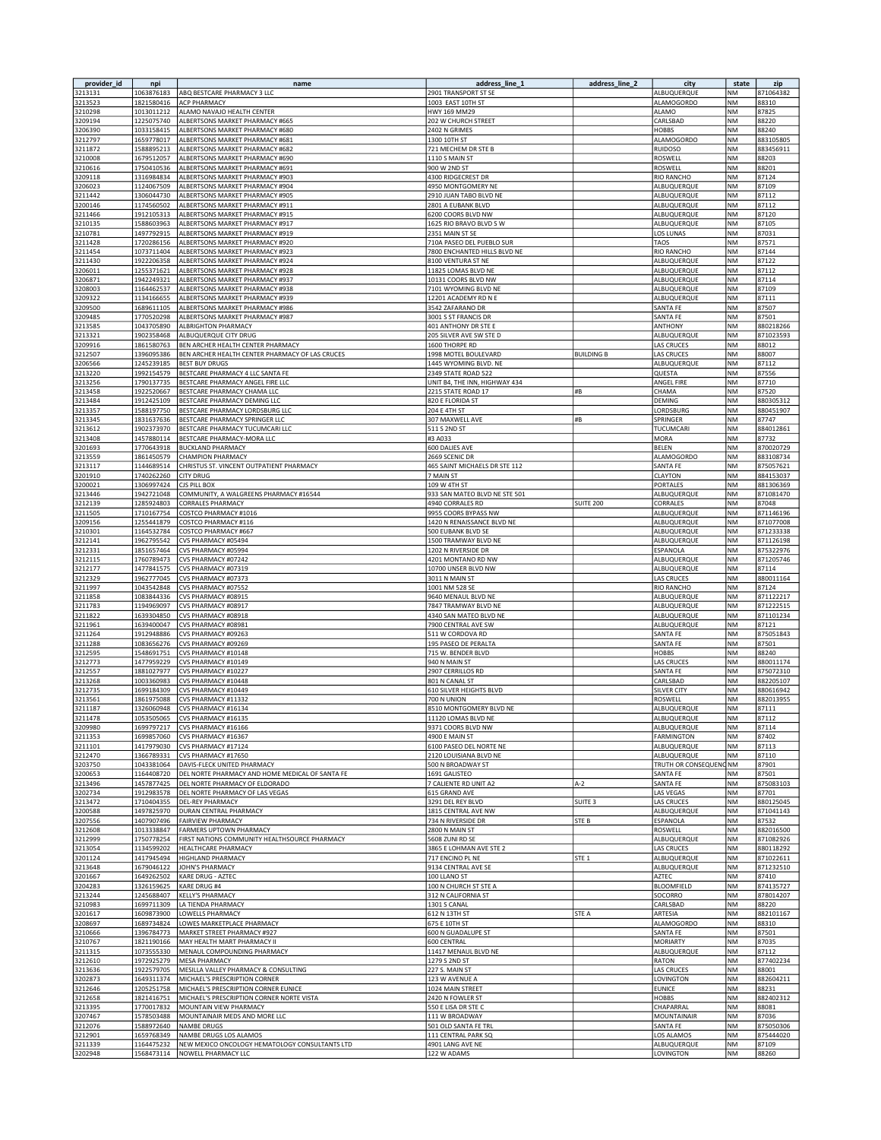| provider_id        | npi                      | name                                                                     | address_line_1                                     | address_line_2     | city                             | state                  | zip                    |
|--------------------|--------------------------|--------------------------------------------------------------------------|----------------------------------------------------|--------------------|----------------------------------|------------------------|------------------------|
| 3213131            | 1063876183               | ABQ BESTCARE PHARMACY 3 LLC                                              | 2901 TRANSPORT ST SE                               |                    | ALBUQUERQUE                      | ΝM                     | 871064382              |
| 3213523            | 1821580416               | <b>ACP PHARMACY</b>                                                      | 1003 EAST 10TH ST                                  |                    | ALAMOGORDO                       | NM                     | 88310                  |
| 3210298            | 1013011212<br>1225075740 | ALAMO NAVAJO HEALTH CENTER                                               | HWY 169 MM29                                       |                    | ALAMO                            | NM                     | 87825                  |
| 3209194<br>3206390 | 1033158415               | ALBERTSONS MARKET PHARMACY #665<br>ALBERTSONS MARKET PHARMACY #680       | 202 W CHURCH STREET<br>2402 N GRIMES               |                    | CARLSBAD<br><b>HOBBS</b>         | <b>NM</b><br>NM        | 88220<br>88240         |
| 3212797            | 1659778017               | ALBERTSONS MARKET PHARMACY #681                                          | 1300 10TH ST                                       |                    | ALAMOGORDO                       | <b>NM</b>              | 883105805              |
| 3211872            | 1588895213               | ALBERTSONS MARKET PHARMACY #682                                          | 721 MECHEM DR STE B                                |                    | <b>RUIDOSO</b>                   | <b>NM</b>              | 883456911              |
| 3210008            | 1679512057               | ALBERTSONS MARKET PHARMACY #690                                          | 1110 S MAIN ST                                     |                    | ROSWELL                          | NM                     | 88203                  |
| 3210616            | 1750410536               | ALBERTSONS MARKET PHARMACY #691                                          | 900 W 2ND ST                                       |                    | ROSWELL                          | <b>NM</b>              | 88201                  |
| 3209118            | 1316984834               | ALBERTSONS MARKET PHARMACY #903                                          | 4300 RIDGECREST DR                                 |                    | <b>RIO RANCHO</b>                | <b>NM</b>              | 87124                  |
| 3206023<br>3211442 | 1124067509<br>1306044730 | ALBERTSONS MARKET PHARMACY #904<br>ALBERTSONS MARKET PHARMACY #905       | 4950 MONTGOMERY NE<br>2910 JUAN TABO BLVD NE       |                    | ALBUQUERQUE<br>ALBUQUERQUE       | <b>NM</b><br><b>NM</b> | 87109<br>87112         |
| 3200146            | 1174560502               | ALBERTSONS MARKET PHARMACY #911                                          | 2801 A EUBANK BLVD                                 |                    | ALBUQUERQUE                      | <b>NM</b>              | 87112                  |
| 3211466            | 1912105313               | ALBERTSONS MARKET PHARMACY #915                                          | 6200 COORS BLVD NW                                 |                    | ALBUQUERQUE                      | <b>NM</b>              | 87120                  |
| 3210135            | 1588603963               | ALBERTSONS MARKET PHARMACY #917                                          | 1625 RIO BRAVO BLVD S W                            |                    | ALBUQUERQUE                      | <b>NM</b>              | 87105                  |
| 3210781            | 1497792915               | ALBERTSONS MARKET PHARMACY #919                                          | 2351 MAIN ST SE                                    |                    | LOS LUNAS                        | <b>NM</b>              | 87031                  |
| 3211428            | 1720286156               | ALBERTSONS MARKET PHARMACY #920                                          | 710A PASEO DEL PUEBLO SUR                          |                    | <b>TAOS</b>                      | <b>NM</b>              | 87571                  |
| 3211454            | 1073711404               | ALBERTSONS MARKET PHARMACY #923                                          | 7800 ENCHANTED HILLS BLVD NE                       |                    | RIO RANCHO                       | <b>NM</b>              | 87144                  |
| 3211430            | 1922206358               | ALBERTSONS MARKET PHARMACY #924                                          | 8100 VENTURA ST NE                                 |                    | ALBUQUERQUE                      | <b>NM</b>              | 87122                  |
| 3206011<br>3206871 | 1255371621<br>1942249321 | ALBERTSONS MARKET PHARMACY #928<br>ALBERTSONS MARKET PHARMACY #937       | 11825 LOMAS BLVD NE<br>10131 COORS BLVD NW         |                    | ALBUQUERQUE<br>ALBUQUERQUE       | <b>NM</b><br><b>NM</b> | 87112<br>87114         |
| 3208003            | 1164462537               | ALBERTSONS MARKET PHARMACY #938                                          | 7101 WYOMING BLVD NE                               |                    | ALBUQUERQUE                      | <b>NM</b>              | 87109                  |
| 3209322            | 1134166655               | ALBERTSONS MARKET PHARMACY #939                                          | 12201 ACADEMY RD N E                               |                    | ALBUQUERQUE                      | <b>NM</b>              | 87111                  |
| 3209500            | 1689611105               | ALBERTSONS MARKET PHARMACY #986                                          | 3542 ZAFARANO DR                                   |                    | SANTA FE                         | NM                     | 87507                  |
| 3209485            | 1770520298               | ALBERTSONS MARKET PHARMACY #987                                          | 3001 S ST FRANCIS DR                               |                    | SANTA FE                         | NM                     | 87501                  |
| 3213585            | 1043705890               | <b>ALBRIGHTON PHARMACY</b>                                               | 401 ANTHONY DR STE E                               |                    | ANTHONY                          | NM                     | 880218266              |
| 3213321            | 1902358468               | ALBUQUERQUE CITY DRUG                                                    | 205 SILVER AVE SW STE D                            |                    | ALBUQUERQUE                      | <b>NM</b>              | 871023593              |
| 3209916            | 1861580763               | BEN ARCHER HEALTH CENTER PHARMACY                                        | 1600 THORPE RD                                     |                    | LAS CRUCES                       | NM                     | 88012                  |
| 3212507<br>3206566 | 1396095386<br>1245239185 | BEN ARCHER HEALTH CENTER PHARMACY OF LAS CRUCES<br><b>BEST BUY DRUGS</b> | 1998 MOTEL BOULEVARD<br>1445 WYOMING BLVD. NE      | <b>BUILDING B</b>  | <b>LAS CRUCES</b><br>ALBUQUERQUE | <b>NM</b><br>NM        | 88007<br>87112         |
| 3213220            | 1992154579               | BESTCARE PHARMACY 4 LLC SANTA FE                                         | 2349 STATE ROAD 522                                |                    | QUESTA                           | <b>NM</b>              | 87556                  |
| 3213256            | 1790137735               | BESTCARE PHARMACY ANGEL FIRE LLC                                         | UNIT B4, THE INN, HIGHWAY 434                      |                    | ANGEL FIRE                       | <b>NM</b>              | 87710                  |
| 3213458            | 1922520667               | BESTCARE PHARMACY CHAMA LLC                                              | 2215 STATE ROAD 17                                 | #B                 | CHAMA                            | NM                     | 87520                  |
| 3213484            | 1912425109               | BESTCARE PHARMACY DEMING LLC                                             | 820 E FLORIDA ST                                   |                    | DEMING                           | <b>NM</b>              | 880305312              |
| 3213357            | 1588197750               | BESTCARE PHARMACY LORDSBURG LLC                                          | 204 E 4TH ST                                       |                    | LORDSBURG                        | NM                     | 880451907              |
| 3213345            | 1831637636               | BESTCARE PHARMACY SPRINGER LLC                                           | 307 MAXWELL AVE                                    | #B                 | SPRINGER                         | NM                     | 87747                  |
| 3213612            | 1902373970               | BESTCARE PHARMACY TUCUMCARI LLC                                          | 511 S 2ND ST                                       |                    | TUCUMCARI                        | <b>NM</b>              | 884012861              |
| 3213408<br>3201693 | 1457880114<br>1770643918 | BESTCARE PHARMACY-MORA LLC<br><b>BUCKLAND PHARMACY</b>                   | #3 A033<br>600 DALIES AVE                          |                    | MORA<br>BELEN                    | NM<br>NM               | 87732<br>870020729     |
| 3213559            | 1861450579               | <b>CHAMPION PHARMACY</b>                                                 | 2669 SCENIC DR                                     |                    | ALAMOGORDO                       | <b>NM</b>              | 883108734              |
| 3213117            | 1144689514               | CHRISTUS ST. VINCENT OUTPATIENT PHARMACY                                 | 465 SAINT MICHAELS DR STE 112                      |                    | SANTA FE                         | <b>NM</b>              | 875057621              |
| 3201910            | 1740262260               | <b>CITY DRUG</b>                                                         | 7 MAIN ST                                          |                    | CLAYTON                          | <b>NM</b>              | 884153037              |
| 3200021            | 1306997424               | <b>CJS PILL BOX</b>                                                      | 109 W 4TH ST                                       |                    | PORTALES                         | <b>NM</b>              | 881306369              |
| 3213446            | 1942721048               | COMMUNITY, A WALGREENS PHARMACY #16544                                   | 933 SAN MATEO BLVD NE STE 501                      |                    | ALBUQUERQUE                      | <b>NM</b>              | 871081470              |
| 3212139            | 1285924803               | CORRALES PHARMACY                                                        | 4940 CORRALES RD                                   | <b>SUITE 200</b>   | CORRALES                         | <b>NM</b>              | 87048                  |
| 3211505            | 1710167754               | COSTCO PHARMACY #1016                                                    | 9955 COORS BYPASS NW<br>1420 N RENAISSANCE BLVD NE |                    | ALBUQUERQUE                      | <b>NM</b><br><b>NM</b> | 871146196              |
| 3209156<br>3210301 | 1255441879<br>1164532784 | COSTCO PHARMACY #116<br>COSTCO PHARMACY #667                             | 500 EUBANK BLVD SE                                 |                    | ALBUQUERQUE<br>ALBUQUERQUE       | NM                     | 871077008<br>871233338 |
| 3212141            | 1962795542               | CVS PHARMACY #05494                                                      | 1500 TRAMWAY BLVD NE                               |                    | ALBUQUERQUE                      | NM                     | 871126198              |
| 3212331            | 1851657464               | CVS PHARMACY #05994                                                      | 1202 N RIVERSIDE DR                                |                    | ESPANOLA                         | NM                     | 875322976              |
| 3212115            | 1760789473               | CVS PHARMACY #07242                                                      | 4201 MONTANO RD NW                                 |                    | ALBUQUERQUE                      | NM                     | 871205746              |
| 3212177            | 1477841575               | CVS PHARMACY #07319                                                      | 10700 UNSER BLVD NW                                |                    | ALBUQUERQUE                      | <b>NM</b>              | 87114                  |
| 3212329            | 1962777045               | CVS PHARMACY #07373                                                      | 3011 N MAIN ST                                     |                    | LAS CRUCES                       | NM                     | 880011164              |
| 3211997            | 1043542848               | CVS PHARMACY #07552                                                      | 1001 NM 528 SE                                     |                    | <b>RIO RANCHO</b>                | <b>NM</b>              | 87124                  |
| 3211858<br>3211783 | 1083844336<br>1194969097 | CVS PHARMACY #08915<br>CVS PHARMACY #08917                               | 9640 MENAUL BLVD NE<br>7847 TRAMWAY BLVD NE        |                    | ALBUQUERQUE<br>ALBUQUERQUE       | NM<br><b>NM</b>        | 871122217<br>871222515 |
| 3211822            | 1639304850               | CVS PHARMACY #08918                                                      | 4340 SAN MATEO BLVD NE                             |                    | ALBUQUERQUE                      | <b>NM</b>              | 871101234              |
| 3211961            | 1639400047               | CVS PHARMACY #08981                                                      | 7900 CENTRAL AVE SW                                |                    | ALBUQUERQUE                      | NM                     | 87121                  |
| 3211264            | 1912948886               | CVS PHARMACY #09263                                                      | 511 W CORDOVA RD                                   |                    | SANTA FE                         | <b>NM</b>              | 875051843              |
| 3211288            | 1083656276               | CVS PHARMACY #09269                                                      | 195 PASEO DE PERALTA                               |                    | SANTA FE                         | NM                     | 87501                  |
| 3212595            | 1548691751               | CVS PHARMACY #10148                                                      | 715 W. BENDER BLVD                                 |                    | <b>HOBBS</b>                     | NM                     | 88240                  |
| 3212773            | 1477959229               | CVS PHARMACY #10149                                                      | 940 N MAIN ST                                      |                    | <b>LAS CRUCES</b>                | <b>NM</b>              | 880011174              |
| 3212557<br>3213268 | 1881027977<br>1003360983 | CVS PHARMACY #10227<br>CVS PHARMACY #10448                               | 2907 CERRILLOS RD<br>801 N CANAL ST                |                    | SANTA FE<br>CARLSBAD             | NM<br>NM               | 875072310<br>882205107 |
| 3212735            | 1699184309               | CVS PHARMACY #10449                                                      | 610 SILVER HEIGHTS BLVD                            |                    | <b>SILVER CITY</b>               | NM                     | 880616942              |
| 3213561            | 1861975088               | CVS PHARMACY #11332                                                      | 700 N UNION                                        |                    | ROSWELL                          | NM                     | 882013955              |
| 3211187            | 1326060948               | CVS PHARMACY #16134                                                      | 8510 MONTGOMERY BLVD NE                            |                    | ALBUQUERQUE                      | <b>NM</b>              | 87111                  |
| 3211478            | 1053505065               | CVS PHARMACY #16135                                                      | 11120 LOMAS BLVD NE                                |                    | ALBUQUERQUE                      | NM                     | 87112                  |
| 3209980            | 1699797217               | CVS PHARMACY #16166                                                      | 9371 COORS BLVD NW                                 |                    | ALBUQUERQUE                      | NM                     | 87114                  |
| 3211353            | 1699857060               | CVS PHARMACY #16367                                                      | 4900 E MAIN ST                                     |                    | <b>FARMINGTON</b>                | NM                     | 87402                  |
| 3211101<br>3212470 | 1417979030<br>1366789331 | CVS PHARMACY #17124<br>CVS PHARMACY #17650                               | 6100 PASEO DEL NORTE NE<br>2120 LOUISIANA BLVD NE  |                    | ALBUQUERQUE<br>ALBUQUERQUE       | <b>NM</b><br><b>NM</b> | 87113<br>87110         |
| 3203750            | 1043381064               | DAVIS-FLECK UNITED PHARMACY                                              | 500 N BROADWAY ST                                  |                    | TRUTH OR CONSEQUENC NM           |                        | 87901                  |
| 3200653            | 1164408720               | DEL NORTE PHARMACY AND HOME MEDICAL OF SANTA FE                          | 1691 GALISTEO                                      |                    | SANTA FE                         | <b>NM</b>              | 87501                  |
| 3213496            | 1457877425               | DEL NORTE PHARMACY OF ELDORADO                                           | 7 CALIENTE RD UNIT A2                              | $A-2$              | SANTA FE                         | <b>NM</b>              | 875083103              |
| 3202734            | 1912983578               | DEL NORTE PHARMACY OF LAS VEGAS                                          | 615 GRAND AVE                                      |                    | <b>LAS VEGAS</b>                 | NM                     | 87701                  |
| 3213472            | 1710404355               | <b>DEL-REY PHARMACY</b>                                                  | 3291 DEL REY BLVD                                  | SUITE <sub>3</sub> | <b>LAS CRUCES</b>                | <b>NM</b>              | 880125045              |
| 3200588            | 1497825970               | DURAN CENTRAL PHARMACY                                                   | 1815 CENTRAL AVE NW                                |                    | ALBUQUERQUE                      | NM                     | 871041143              |
| 3207556            | 1407907496               | <b>FAIRVIEW PHARMACY</b>                                                 | 734 N RIVERSIDE DR                                 | STE B              | ESPANOLA                         | <b>NM</b>              | 87532                  |
| 3212608<br>3212999 | 1013338847<br>1750778254 | FARMERS UPTOWN PHARMACY<br>FIRST NATIONS COMMUNITY HEALTHSOURCE PHARMACY | 2800 N MAIN ST<br>5608 ZUNI RD SE                  |                    | ROSWELL<br>ALBUQUERQUE           | NM<br><b>NM</b>        | 882016500<br>871082926 |
| 3213054            | 1134599202               | HEALTHCARE PHARMACY                                                      | 3865 E LOHMAN AVE STE 2                            |                    | <b>LAS CRUCES</b>                | <b>NM</b>              | 880118292              |
| 3201124            | 1417945494               | <b>HIGHLAND PHARMACY</b>                                                 | 717 ENCINO PL NE                                   | STE <sub>1</sub>   | ALBUQUERQUE                      | NM                     | 871022611              |
| 3213648            | 1679046122               | JOHN'S PHARMACY                                                          | 9134 CENTRAL AVE SE                                |                    | ALBUQUERQUE                      | <b>NM</b>              | 871232510              |
| 3201667            | 1649262502               | KARE DRUG - AZTEC                                                        | 100 LLANO ST                                       |                    | AZTEC                            | <b>NM</b>              | 87410                  |
| 3204283            | 1326159625               | KARE DRUG #4                                                             | 100 N CHURCH ST STE A                              |                    | <b>BLOOMFIELD</b>                | NM                     | 874135727              |
| 3213244            | 1245688407               | <b>KELLY'S PHARMACY</b>                                                  | 312 N CALIFORNIA ST                                |                    | SOCORRO                          | NM                     | 878014207              |
| 3210983            | 1699711309               | LA TIENDA PHARMACY                                                       | 1301 S CANAL                                       |                    | CARLSBAD                         | NM                     | 88220                  |
| 3201617<br>3208697 | 1609873900<br>1689734824 | LOWELLS PHARMACY<br>LOWES MARKETPLACE PHARMACY                           | 612 N 13TH ST<br>675 E 10TH ST                     | STE A              | ARTESIA<br>ALAMOGORDO            | NM<br><b>NM</b>        | 882101167<br>88310     |
| 3210666            | 1396784773               | MARKET STREET PHARMACY #927                                              | 600 N GUADALUPE ST                                 |                    | SANTA FE                         | <b>NM</b>              | 87501                  |
| 3210767            | 1821190166               | MAY HEALTH MART PHARMACY II                                              | 600 CENTRAL                                        |                    | <b>MORIARTY</b>                  | <b>NM</b>              | 87035                  |
| 3211315            | 1073555330               | MENAUL COMPOUNDING PHARMACY                                              | 11417 MENAUL BLVD NE                               |                    | ALBUQUERQUE                      | NM                     | 87112                  |
| 3212610            | 1972925279               | <b>MESA PHARMACY</b>                                                     | 1279 S 2ND ST                                      |                    | <b>RATON</b>                     | NM                     | 877402234              |
| 3213636            | 1922579705               | MESILLA VALLEY PHARMACY & CONSULTING                                     | 227 S. MAIN ST                                     |                    | LAS CRUCES                       | NM                     | 88001                  |
| 3202873            | 1649311374               | MICHAEL'S PRESCRIPTION CORNER                                            | 123 W AVENUE A                                     |                    | LOVINGTON                        | <b>NM</b>              | 882604211              |
| 3212646            | 1205251758               | MICHAEL'S PRESCRIPTION CORNER EUNICE                                     | 1024 MAIN STREET                                   |                    | <b>EUNICE</b>                    | <b>NM</b>              | 88231                  |
| 3212658<br>3213395 | 1821416751<br>1770017832 | MICHAEL'S PRESCRIPTION CORNER NORTE VISTA<br>MOUNTAIN VIEW PHARMACY      | 2420 N FOWLER ST<br>550 E LISA DR STE C            |                    | <b>HOBBS</b><br>CHAPARRAL        | NM<br>NM               | 882402312<br>88081     |
| 3207467            | 1578503488               | MOUNTAINAIR MEDS AND MORE LLC                                            | 111 W BROADWAY                                     |                    | MOUNTAINAIR                      | NM                     | 87036                  |
| 3212076            | 1588972640               | <b>NAMBE DRUGS</b>                                                       | 501 OLD SANTA FE TRL                               |                    | SANTA FE                         | NM                     | 875050306              |
| 3212901            | 1659768349               | NAMBE DRUGS LOS ALAMOS                                                   | 111 CENTRAL PARK SQ                                |                    | LOS ALAMOS                       | <b>NM</b>              | 875444020              |
| 3211339            | 1164475232               | NEW MEXICO ONCOLOGY HEMATOLOGY CONSULTANTS LTD                           | 4901 LANG AVE NE                                   |                    | ALBUQUERQUE                      | <b>NM</b>              | 87109                  |
| 3202948            |                          | 1568473114   NOWELL PHARMACY LLC                                         | 122 W ADAMS                                        |                    | LOVINGTON                        | NM                     | 88260                  |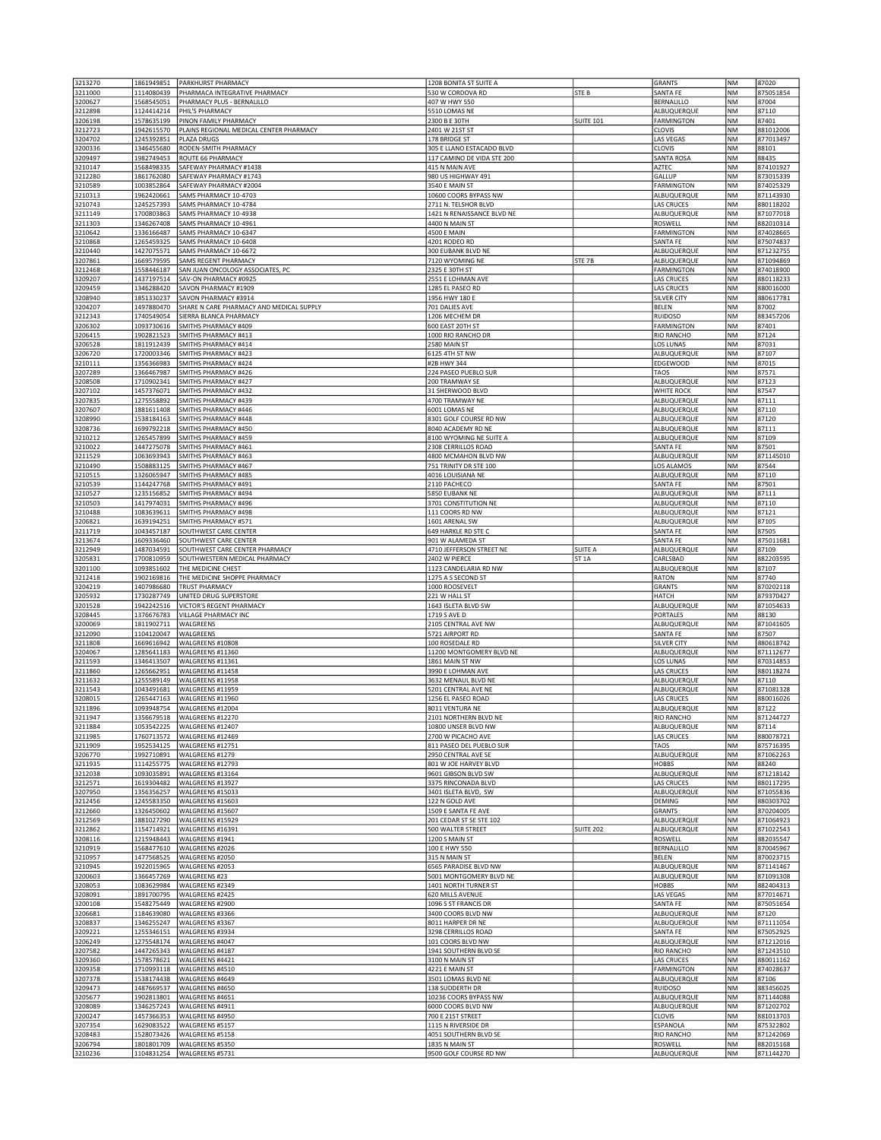| 3213270            | 1861949851               | PARKHURST PHARMACY                                       | 1208 BONITA ST SUITE A                         |                   | <b>GRANTS</b>                          | ΝM              | 87020                  |
|--------------------|--------------------------|----------------------------------------------------------|------------------------------------------------|-------------------|----------------------------------------|-----------------|------------------------|
| 3211000            | 1114080439               | PHARMACA INTEGRATIVE PHARMACY                            | 530 W CORDOVA RD                               | STE B             | <b>SANTA FE</b>                        | NM              | 875051854              |
| 3200627<br>3212898 | 1568545051<br>1124414214 | PHARMACY PLUS - BERNALILLO<br>PHIL'S PHARMACY            | 407 W HWY 550<br>5510 LOMAS NE                 |                   | <b>BERNALILLO</b><br>ALBUQUERQUE       | <b>NM</b><br>NM | 87004<br>87110         |
| 3206198            | 1578635199               | PINON FAMILY PHARMACY                                    | 2300 B E 30TH                                  | <b>SUITE 101</b>  | <b>FARMINGTON</b>                      | NM              | 87401                  |
| 3212723            | 1942615570               | PLAINS REGIONAL MEDICAL CENTER PHARMACY                  | 2401 W 21ST ST                                 |                   | CLOVIS                                 | NM              | 881012006              |
| 3204702            | 1245392851               | PLAZA DRUGS                                              | 178 BRIDGE ST                                  |                   | <b>LAS VEGAS</b>                       | NM              | 877013497              |
| 3200336            | 1346455680               | RODEN-SMITH PHARMACY                                     | 305 E LLANO ESTACADO BLVD                      |                   | <b>CLOVIS</b>                          | NM              | 88101                  |
| 3209497<br>3210147 | 1982749453<br>1568498335 | ROUTE 66 PHARMACY<br>SAFEWAY PHARMACY #1438              | 117 CAMINO DE VIDA STE 200<br>415 N MAIN AVE   |                   | <b>SANTA ROSA</b><br>AZTEC             | NM<br>NM        | 88435<br>874101927     |
| 3212280            | 1861762080               | SAFEWAY PHARMACY #1743                                   | 980 US HIGHWAY 491                             |                   | <b>GALLUP</b>                          | NM              | 873015339              |
| 3210589            | 1003852864               | SAFEWAY PHARMACY #2004                                   | 3540 E MAIN ST                                 |                   | <b>FARMINGTON</b>                      | NM              | 874025329              |
| 3210313            | 1962420661               | SAMS PHARMACY 10-4703                                    | 10600 COORS BYPASS NW                          |                   | ALBUQUERQUE                            | NM              | 871143930              |
| 3210743            | 1245257393               | SAMS PHARMACY 10-4784                                    | 2711 N. TELSHOR BLVD                           |                   | <b>LAS CRUCES</b>                      | NM              | 880118202              |
| 3211149<br>3211303 | 1700803863<br>1346267408 | SAMS PHARMACY 10-4938<br>SAMS PHARMACY 10-4961           | 1421 N RENAISSANCE BLVD NE<br>4400 N MAIN ST   |                   | ALBUQUERQUE<br>ROSWELL                 | NM<br>NM        | 871077018<br>882010314 |
| 3210642            | 1336166487               | SAMS PHARMACY 10-6347                                    | <b>4500 E MAIN</b>                             |                   | <b>FARMINGTON</b>                      | NM              | 874028665              |
| 3210868            | 1265459325               | SAMS PHARMACY 10-6408                                    | 4201 RODEO RD                                  |                   | SANTA FE                               | NM              | 875074837              |
| 3210440            | 1427075571               | SAMS PHARMACY 10-6672                                    | 300 EUBANK BLVD NE                             |                   | ALBUQUERQUE                            | NM              | 871232755              |
| 3207861<br>3212468 | 1669579595<br>1558446187 | SAMS REGENT PHARMACY<br>SAN JUAN ONCOLOGY ASSOCIATES, PC | 7120 WYOMING NE<br>2325 E 30TH ST              | STE 7B            | ALBUQUERQUE<br><b>FARMINGTON</b>       | NM<br>NM        | 871094869<br>874018900 |
| 3209207            | 1437197514               | SAV-ON PHARMACY #0925                                    | 2551 E LOHMAN AVE                              |                   | <b>LAS CRUCES</b>                      | NM              | 880118233              |
| 3209459            | 1346288420               | SAVON PHARMACY #1909                                     | 1285 EL PASEO RD                               |                   | LAS CRUCES                             | NM              | 880016000              |
| 3208940            | 1851330237               | SAVON PHARMACY #3914                                     | 1956 HWY 180 E                                 |                   | <b>SILVER CITY</b>                     | NM              | 880617781              |
| 3204207            | 1497880470               | SHARE N CARE PHARMACY AND MEDICAL SUPPLY                 | 701 DALIES AVE                                 |                   | BELEN                                  | NM              | 87002                  |
| 3212343<br>3206302 | 1740549054<br>1093730616 | SIERRA BLANCA PHARMACY<br>SMITHS PHARMACY #409           | 1206 MECHEM DR<br>600 EAST 20TH ST             |                   | <b>RUIDOSO</b><br><b>FARMINGTON</b>    | NM<br>NM        | 883457206<br>87401     |
| 3206415            | 1902821523               | SMITHS PHARMACY #413                                     | 1000 RIO RANCHO DR                             |                   | <b>RIO RANCHO</b>                      | <b>NM</b>       | 87124                  |
| 3206528            | 1811912439               | SMITHS PHARMACY #414                                     | 2580 MAIN ST                                   |                   | LOS LUNAS                              | NM              | 87031                  |
| 3206720            | 1720003346               | SMITHS PHARMACY #423                                     | 6125 4TH ST NW                                 |                   | ALBUQUERQUE                            | NM              | 87107                  |
| 3210111<br>3207289 | 1356366983<br>1366467987 | SMITHS PHARMACY #424<br>SMITHS PHARMACY #426             | #2B HWY 344<br>224 PASEO PUEBLO SUR            |                   | <b>EDGEWOOD</b><br>TAOS                | NM<br>NM        | 87015<br>87571         |
| 3208508            | 1710902341               | SMITHS PHARMACY #427                                     | 200 TRAMWAY SE                                 |                   | ALBUQUERQUE                            | NM              | 87123                  |
| 3207102            | 1457376071               | SMITHS PHARMACY #432                                     | 31 SHERWOOD BLVD                               |                   | <b>WHITE ROCK</b>                      | NM              | 87547                  |
| 3207835            | 1275558892               | SMITHS PHARMACY #439                                     | 4700 TRAMWAY NE                                |                   | ALBUQUERQUE                            | NM              | 87111                  |
| 3207607<br>3208990 | 1881611408<br>1538184163 | SMITHS PHARMACY #446<br>SMITHS PHARMACY #448             | 6001 LOMAS NE<br>8301 GOLF COURSE RD NW        |                   | ALBUQUERQUE<br>ALBUQUERQUE             | NM<br>NM        | 87110<br>87120         |
| 3208736            | 1699792218               | SMITHS PHARMACY #450                                     | 8040 ACADEMY RD NE                             |                   | ALBUQUERQUE                            | NM              | 87111                  |
| 3210212            | 1265457899               | SMITHS PHARMACY #459                                     | 8100 WYOMING NE SUITE A                        |                   | ALBUQUERQUE                            | NM              | 87109                  |
| 3210022            | 1447275078               | SMITHS PHARMACY #461                                     | 2308 CERRILLOS ROAD                            |                   | <b>SANTA FE</b>                        | NM              | 87501                  |
| 3211529            | 1063693943               | SMITHS PHARMACY #463                                     | 4800 MCMAHON BLVD NW                           |                   | ALBUQUERQUE                            | NM              | 871145010              |
| 3210490<br>3210515 | 1508883125<br>1326065947 | SMITHS PHARMACY #467<br><b>SMITHS PHARMACY #485</b>      | 751 TRINITY DR STE 100<br>4016 LOUISIANA NE    |                   | LOS ALAMOS<br>ALBUQUERQUE              | NM<br>NM        | 87544<br>87110         |
| 3210539            | 1144247768               | SMITHS PHARMACY #491                                     | 2110 PACHECO                                   |                   | SANTA FE                               | NΜ              | 87501                  |
| 3210527            | 1235156852               | SMITHS PHARMACY #494                                     | 5850 EUBANK NE                                 |                   | ALBUQUERQUE                            | NM              | 87111                  |
| 3210503            | 1417974031               | SMITHS PHARMACY #496                                     | 3701 CONSTITUTION NE                           |                   | ALBUQUERQUE                            | NM              | 87110                  |
| 3210488<br>3206821 | 1083639611<br>1639194251 | SMITHS PHARMACY #498<br>SMITHS PHARMACY #571             | 111 COORS RD NW<br>1601 ARENAL SW              |                   | ALBUQUERQUE<br>ALBUQUERQUE             | NM<br>NM        | 87121<br>87105         |
| 3211719            | 1043457187               | SOUTHWEST CARE CENTER                                    | 649 HARKLE RD STE C                            |                   | SANTA FE                               | NM              | 87505                  |
| 3213674            | 1609336460               | SOUTHWEST CARE CENTER                                    | 901 W ALAMEDA ST                               |                   | SANTA FE                               | NM              | 875011681              |
| 3212949            | 1487034591               | SOUTHWEST CARE CENTER PHARMACY                           | 4710 JEFFERSON STREET NE                       | <b>SUITE A</b>    | ALBUQUERQUE                            | NM              | 87109                  |
| 3205831<br>3201100 | 1700810959<br>1093851602 | SOUTHWESTERN MEDICAL PHARMACY                            | 2402 W PIERCE                                  | ST <sub>1</sub> A | CARLSBAD                               | NM              | 882203595              |
|                    |                          |                                                          |                                                |                   |                                        |                 |                        |
|                    |                          | THE MEDICINE CHEST                                       | 1123 CANDELARIA RD NW                          |                   | ALBUQUERQUE                            | NM              | 87107                  |
| 3212418<br>3204219 | 1902169816<br>1407986680 | THE MEDICINE SHOPPE PHARMACY<br>TRUST PHARMACY           | 1275 A S SECOND ST<br>1000 ROOSEVELT           |                   | <b>RATON</b><br><b>GRANTS</b>          | NM<br>NM        | 87740<br>870202118     |
| 3205932            | 1730287749               | UNITED DRUG SUPERSTORE                                   | 221 W HALL ST                                  |                   | <b>HATCH</b>                           | NM              | 879370427              |
| 3201528            | 1942242516               | VICTOR'S REGENT PHARMACY                                 | 1643 ISLETA BLVD SW                            |                   | ALBUQUERQUE                            | NM              | 871054633              |
| 3208445            | 1376676783               | VILLAGE PHARMACY INC                                     | 1719 S AVE D                                   |                   | <b>PORTALES</b>                        | NM              | 88130                  |
| 3200069<br>3212090 | 1811902711<br>1104120047 | WALGREENS<br>WALGREENS                                   | 2105 CENTRAL AVE NW<br>5721 AIRPORT RD         |                   | ALBUQUERQUE<br>SANTA FE                | NM<br><b>NM</b> | 871041605<br>87507     |
| 3211808            | 1669616942               | WALGREENS #10808                                         | 100 ROSEDALE RD                                |                   | <b>SILVER CITY</b>                     | NM              | 880618742              |
| 3204067            | 1285641183               | WALGREENS #11360                                         | 11200 MONTGOMERY BLVD NE                       |                   | ALBUQUERQUE                            | NM              | 871112677              |
| 3211593            | 1346413507               | WALGREENS #11361                                         | 1861 MAIN ST NW                                |                   | LOS LUNAS                              | NM              | 870314853              |
| 3211860<br>3211632 | 1265662951<br>1255589149 | WALGREENS #11458<br>WALGREENS #11958                     | 3990 E LOHMAN AVE<br>3632 MENAUL BLVD NE       |                   | <b>LAS CRUCES</b><br>ALBUQUERQUE       | NM<br><b>NM</b> | 880118274<br>87110     |
| 3211543            | 1043491681               | WALGREENS #11959                                         | 5201 CENTRAL AVE NE                            |                   | ALBUQUERQUE                            | NM              | 871081328              |
| 3208015            | 1265447163               | WALGREENS #11960                                         | 1256 EL PASEO ROAD                             |                   | LAS CRUCES                             | NM              | 880016026              |
| 3211896            | 1093948754               | WALGREENS #12004                                         | 8011 VENTURA NE                                |                   | ALBUQUERQUE                            | NM              | 87122                  |
| 3211947<br>3211884 | 1356679518<br>1053542225 | WALGREENS #12270<br>WALGREENS #12407                     | 2101 NORTHERN BLVD NE<br>10800 UNSER BLVD NW   |                   | <b>RIO RANCHO</b><br>ALBUQUERQUE       | NM<br>NM        | 871244727<br>87114     |
| 3211985            | 1760713572               | WALGREENS #12469                                         | 2700 W PICACHO AVE                             |                   | <b>LAS CRUCES</b>                      | NM              | 880078721              |
| 3211909            | 1952534125               | WALGREENS #12751                                         | 811 PASEO DEL PUEBLO SUR                       |                   | <b>TAOS</b>                            | NM              | 875716395              |
| 3206770            | 1992710891               | WALGREENS #1279                                          | 2950 CENTRAL AVE SE                            |                   | ALBUQUERQUE                            | NM              | 871062263              |
| 3211935<br>3212038 | 1114255775<br>1093035891 | WALGREENS #12793<br>WALGREENS #13164                     | 801 W JOE HARVEY BLVD<br>9601 GIBSON BLVD SW   |                   | <b>HOBBS</b><br>ALBUQUERQUE            | NM<br>NM        | 88240<br>871218142     |
| 3212571            | 1619304482               | WALGREENS #13927                                         | 3375 RINCONADA BLVD                            |                   | LAS CRUCES                             | NM              | 880117295              |
| 3207950            | 1356356257               | WALGREENS #15033                                         | 3401 ISLETA BLVD, SW                           |                   | ALBUQUERQUE                            | NM              | 871055836              |
| 3212456            | 1245583350               | WALGREENS #15603                                         | 122 N GOLD AVE                                 |                   | DEMING                                 | NM              | 880303702              |
| 3212660<br>3212569 | 1326450602<br>1881027290 | WALGREENS #15607<br>WALGREENS #15929                     | 1509 E SANTA FE AVE<br>201 CEDAR ST SE STE 102 |                   | <b>GRANTS</b><br>ALBUQUERQUE           | NM<br>NM        | 870204005<br>871064923 |
| 3212862            | 1154714921               | WALGREENS #16391                                         | 500 WALTER STREET                              | <b>SUITE 202</b>  | ALBUQUERQUE                            | NM              | 871022543              |
| 3208116            | 1215948443               | WALGREENS #1941                                          | 1200 S MAIN ST                                 |                   | ROSWELL                                | NM              | 882035547              |
| 3210919            | 1568477610               | WALGREENS #2026                                          | 100 E HWY 550                                  |                   | <b>BERNALILLO</b>                      | NM              | 870045967              |
| 3210957<br>3210945 | 1477568525<br>1922015965 | WALGREENS #2050<br>WALGREENS #2053                       | 315 N MAIN ST<br>6565 PARADISE BLVD NW         |                   | <b>BELEN</b><br>ALBUQUERQUE            | NM<br>NM        | 870023715<br>871141467 |
| 3200603            | 1366457269               | WALGREENS #23                                            | 5001 MONTGOMERY BLVD NE                        |                   | ALBUQUERQUE                            | NM              | 871091308              |
| 3208053            | 1083629984               | WALGREENS #2349                                          | 1401 NORTH TURNER ST                           |                   | <b>HOBBS</b>                           | NM              | 882404313              |
| 3208091            | 1891700795               | WALGREENS #2425                                          | 620 MILLS AVENUE                               |                   | LAS VEGAS                              | NM              | 877014671              |
| 3200108<br>3206681 | 1548275449<br>1184639080 | WALGREENS #2900<br>WALGREENS #3366                       | 1096 S ST FRANCIS DR<br>3400 COORS BLVD NW     |                   | SANTA FE<br>ALBUQUERQUE                | NM<br>NM        | 875051654<br>87120     |
| 3208837            | 1346255247               | WALGREENS #3367                                          | 8011 HARPER DR NE                              |                   | ALBUQUERQUE                            | NM              | 871111054              |
| 3209221            | 1255346151               | WALGREENS #3934                                          | 3298 CERRILLOS ROAD                            |                   | SANTA FE                               | NM              | 875052925              |
| 3206249            | 1275548174               | WALGREENS #4047                                          | 101 COORS BLVD NW                              |                   | ALBUQUERQUE                            | NM              | 871212016              |
| 3207582            | 1447265343               | WALGREENS #4187                                          | 1941 SOUTHERN BLVD SE                          |                   | RIO RANCHO                             | NM              | 871243510              |
| 3209360<br>3209358 | 1578578621<br>1710993118 | WALGREENS #4421<br>WALGREENS #4510                       | 3100 N MAIN ST<br>4221 E MAIN ST               |                   | <b>LAS CRUCES</b><br><b>FARMINGTON</b> | NM<br>NM        | 880011162<br>874028637 |
| 3207378            | 1538174438               | WALGREENS #4649                                          | 3501 LOMAS BLVD NE                             |                   | ALBUQUERQUE                            | NM              | 87106                  |
| 3209473            | 1487669537               | WALGREENS #4650                                          | 138 SUDDERTH DR                                |                   | <b>RUIDOSO</b>                         | NM              | 883456025              |
| 3205677            | 1902813801               | WALGREENS #4651                                          | 10236 COORS BYPASS NW                          |                   | ALBUQUERQUE                            | NM              | 871144088              |
| 3208089<br>3200247 | 1346257243<br>1457366353 | WALGREENS #4911<br>WALGREENS #4950                       | 6000 COORS BLVD NW<br>700 E 21ST STREET        |                   | ALBUQUERQUE<br>CLOVIS                  | NM<br>NM        | 871202702<br>881013703 |
| 3207354            | 1629083522               | WALGREENS #5157                                          | 1115 N RIVERSIDE DR                            |                   | ESPANOLA                               | NM              | 875322802              |
| 3208483            | 1528073426               | WALGREENS #5158                                          | 4051 SOUTHERN BLVD SE                          |                   | RIO RANCHO                             | NM              | 871242069              |
| 3206794<br>3210236 | 1801801709<br>1104831254 | WALGREENS #5350<br>WALGREENS #5731                       | 1835 N MAIN ST<br>9500 GOLF COURSE RD NW       |                   | ROSWELL<br>ALBUQUERQUE                 | NM<br>NM        | 882015168<br>871144270 |